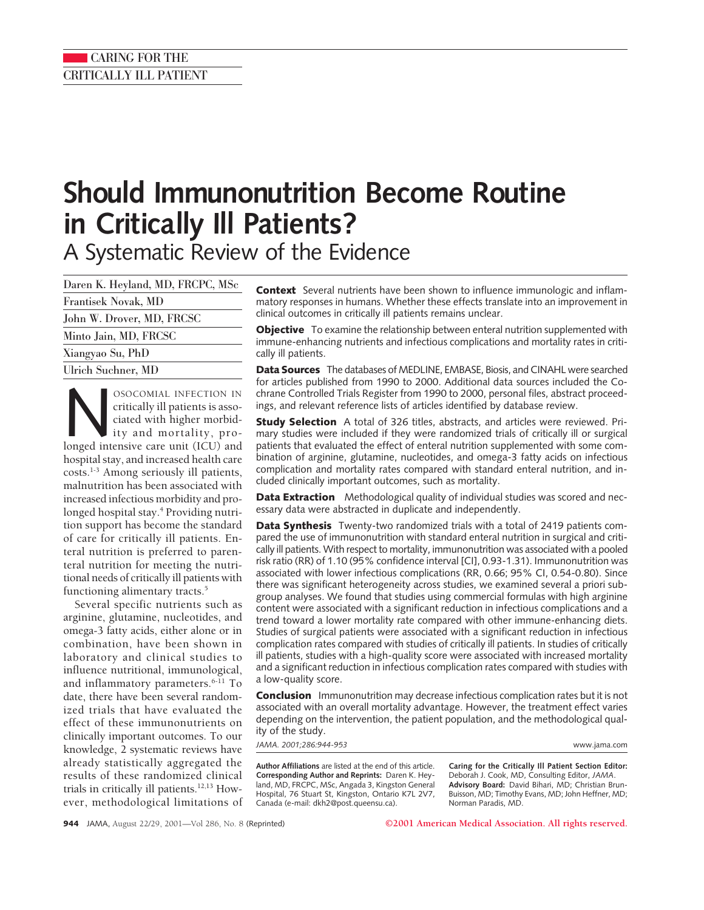# **Should Immunonutrition Become Routine in Critically Ill Patients?**

A Systematic Review of the Evidence

| Daren K. Heyland, MD, FRCPC, MSc |
|----------------------------------|
| Frantisek Novak, MD              |
| John W. Drover, MD, FRCSC        |
| Minto Jain, MD, FRCSC            |
| Xiangyao Su, PhD                 |
| Ulrich Suchner, MD               |

OSOCOMIAL INFECTION IN
critically ill patients is asso-<br>ciated with higher morbid-<br>ity and mortality, pro-<br>longed intensive care unit (ICU) and critically ill patients is associated with higher morbidity and mortality, prohospital stay, and increased health care costs.1-3 Among seriously ill patients, malnutrition has been associated with increased infectious morbidity and prolonged hospital stay.<sup>4</sup> Providing nutrition support has become the standard of care for critically ill patients. Enteral nutrition is preferred to parenteral nutrition for meeting the nutritional needs of critically ill patients with functioning alimentary tracts.<sup>5</sup>

Several specific nutrients such as arginine, glutamine, nucleotides, and omega-3 fatty acids, either alone or in combination, have been shown in laboratory and clinical studies to influence nutritional, immunological, and inflammatory parameters.<sup>6-11</sup> To date, there have been several randomized trials that have evaluated the effect of these immunonutrients on clinically important outcomes. To our knowledge, 2 systematic reviews have already statistically aggregated the results of these randomized clinical trials in critically ill patients.<sup>12,13</sup> However, methodological limitations of **Context** Several nutrients have been shown to influence immunologic and inflammatory responses in humans. Whether these effects translate into an improvement in clinical outcomes in critically ill patients remains unclear.

**Objective** To examine the relationship between enteral nutrition supplemented with immune-enhancing nutrients and infectious complications and mortality rates in critically ill patients.

**Data Sources** The databases of MEDLINE, EMBASE, Biosis, and CINAHL were searched for articles published from 1990 to 2000. Additional data sources included the Cochrane Controlled Trials Register from 1990 to 2000, personal files, abstract proceedings, and relevant reference lists of articles identified by database review.

**Study Selection** A total of 326 titles, abstracts, and articles were reviewed. Primary studies were included if they were randomized trials of critically ill or surgical patients that evaluated the effect of enteral nutrition supplemented with some combination of arginine, glutamine, nucleotides, and omega-3 fatty acids on infectious complication and mortality rates compared with standard enteral nutrition, and included clinically important outcomes, such as mortality.

**Data Extraction** Methodological quality of individual studies was scored and necessary data were abstracted in duplicate and independently.

**Data Synthesis** Twenty-two randomized trials with a total of 2419 patients compared the use of immunonutrition with standard enteral nutrition in surgical and critically ill patients. With respect to mortality, immunonutrition was associated with a pooled risk ratio (RR) of 1.10 (95% confidence interval [CI], 0.93-1.31). Immunonutrition was associated with lower infectious complications (RR, 0.66; 95% CI, 0.54-0.80). Since there was significant heterogeneity across studies, we examined several a priori subgroup analyses. We found that studies using commercial formulas with high arginine content were associated with a significant reduction in infectious complications and a trend toward a lower mortality rate compared with other immune-enhancing diets. Studies of surgical patients were associated with a significant reduction in infectious complication rates compared with studies of critically ill patients. In studies of critically ill patients, studies with a high-quality score were associated with increased mortality and a significant reduction in infectious complication rates compared with studies with a low-quality score.

**Conclusion** Immunonutrition may decrease infectious complication rates but it is not associated with an overall mortality advantage. However, the treatment effect varies depending on the intervention, the patient population, and the methodological quality of the study.

*JAMA. 2001;286:944-953* www.jama.com

**Author Affiliations** are listed at the end of this article. **Corresponding Author and Reprints:** Daren K. Heyland, MD, FRCPC, MSc, Angada 3, Kingston General Hospital, 76 Stuart St, Kingston, Ontario K7L 2V7, Canada (e-mail: dkh2@post.queensu.ca).

**Caring for the Critically Ill Patient Section Editor:** Deborah J. Cook, MD, Consulting Editor, *JAMA*. **Advisory Board:** David Bihari, MD; Christian Brun-Buisson, MD; Timothy Evans, MD; John Heffner, MD; Norman Paradis, MD.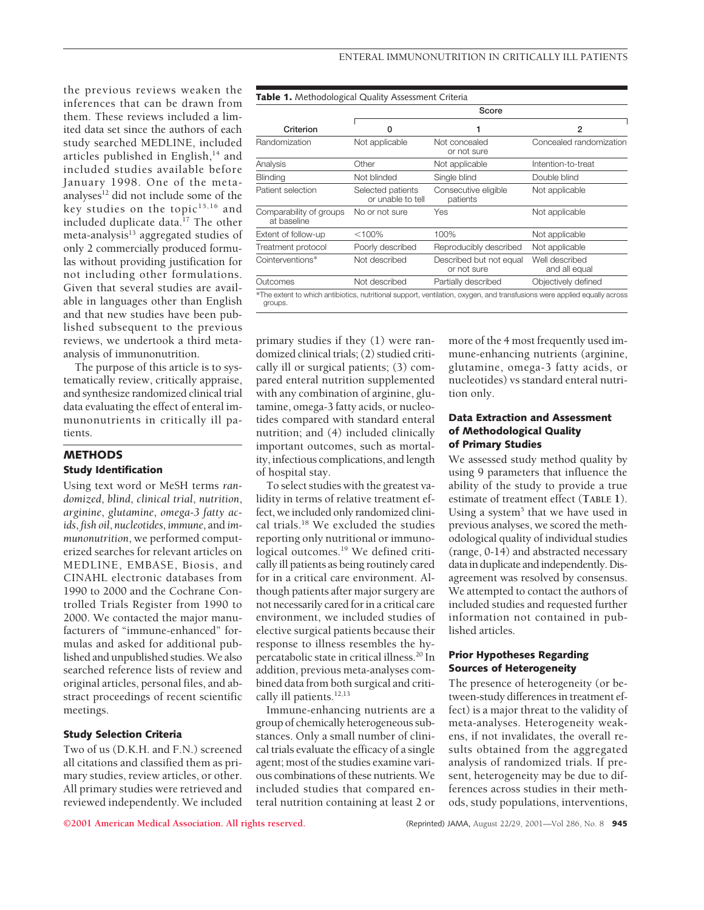the previous reviews weaken the inferences that can be drawn from them. These reviews included a limited data set since the authors of each study searched MEDLINE, included articles published in English, $14$  and included studies available before January 1998. One of the metaanalyses<sup>12</sup> did not include some of the key studies on the topic<sup>15,16</sup> and included duplicate data.<sup>17</sup> The other meta-analysis<sup>13</sup> aggregated studies of only 2 commercially produced formulas without providing justification for not including other formulations. Given that several studies are available in languages other than English and that new studies have been published subsequent to the previous reviews, we undertook a third metaanalysis of immunonutrition.

The purpose of this article is to systematically review, critically appraise, and synthesize randomized clinical trial data evaluating the effect of enteral immunonutrients in critically ill patients.

# **METHODS Study Identification**

Using text word or MeSH terms *randomized*, *blind*, *clinical trial*, *nutrition*, *arginine*, *glutamine*, *omega-3 fatty acids*, *fish oil*, *nucleotides*, *immune*, and *immunonutrition*, we performed computerized searches for relevant articles on MEDLINE, EMBASE, Biosis, and CINAHL electronic databases from 1990 to 2000 and the Cochrane Controlled Trials Register from 1990 to 2000. We contacted the major manufacturers of "immune-enhanced" formulas and asked for additional published and unpublished studies. We also searched reference lists of review and original articles, personal files, and abstract proceedings of recent scientific meetings.

### **Study Selection Criteria**

Two of us (D.K.H. and F.N.) screened all citations and classified them as primary studies, review articles, or other. All primary studies were retrieved and reviewed independently. We included

|                                        | Score                                  |                                        |                                 |  |  |  |
|----------------------------------------|----------------------------------------|----------------------------------------|---------------------------------|--|--|--|
| Criterion                              | 0                                      | 1                                      | $\overline{2}$                  |  |  |  |
| Randomization                          | Not applicable                         | Not concealed<br>or not sure           | Concealed randomization         |  |  |  |
| Analysis                               | Other                                  | Not applicable                         | Intention-to-treat              |  |  |  |
| <b>Blinding</b>                        | Not blinded                            | Single blind                           | Double blind                    |  |  |  |
| Patient selection                      | Selected patients<br>or unable to tell | Consecutive eligible<br>patients       | Not applicable                  |  |  |  |
| Comparability of groups<br>at baseline | No or not sure                         | Yes                                    | Not applicable                  |  |  |  |
| Extent of follow-up                    | $<100\%$                               | 100%                                   | Not applicable                  |  |  |  |
| Treatment protocol                     | Poorly described                       | Reproducibly described                 | Not applicable                  |  |  |  |
| Cointerventions*                       | Not described                          | Described but not equal<br>or not sure | Well described<br>and all equal |  |  |  |
| Outcomes                               | Not described                          | Partially described                    | Objectively defined             |  |  |  |

primary studies if they (1) were randomized clinical trials; (2) studied critically ill or surgical patients; (3) compared enteral nutrition supplemented with any combination of arginine, glutamine, omega-3 fatty acids, or nucleotides compared with standard enteral nutrition; and (4) included clinically important outcomes, such as mortality, infectious complications, and length of hospital stay.

To select studies with the greatest validity in terms of relative treatment effect, we included only randomized clinical trials.18 We excluded the studies reporting only nutritional or immunological outcomes.<sup>19</sup> We defined critically ill patients as being routinely cared for in a critical care environment. Although patients after major surgery are not necessarily cared for in a critical care environment, we included studies of elective surgical patients because their response to illness resembles the hypercatabolic state in critical illness.20 In addition, previous meta-analyses combined data from both surgical and critically ill patients.<sup>12,13</sup>

Immune-enhancing nutrients are a group of chemically heterogeneous substances. Only a small number of clinical trials evaluate the efficacy of a single agent; most of the studies examine various combinations of these nutrients. We included studies that compared enteral nutrition containing at least 2 or

more of the 4 most frequently used immune-enhancing nutrients (arginine, glutamine, omega-3 fatty acids, or nucleotides) vs standard enteral nutrition only.

# **Data Extraction and Assessment of Methodological Quality of Primary Studies**

We assessed study method quality by using 9 parameters that influence the ability of the study to provide a true estimate of treatment effect (**TABLE 1**). Using a system $5$  that we have used in previous analyses, we scored the methodological quality of individual studies (range, 0-14) and abstracted necessary data in duplicate and independently. Disagreement was resolved by consensus. We attempted to contact the authors of included studies and requested further information not contained in published articles.

# **Prior Hypotheses Regarding Sources of Heterogeneity**

The presence of heterogeneity (or between-study differences in treatment effect) is a major threat to the validity of meta-analyses. Heterogeneity weakens, if not invalidates, the overall results obtained from the aggregated analysis of randomized trials. If present, heterogeneity may be due to differences across studies in their methods, study populations, interventions,

**©2001 American Medical Association. All rights reserved.** (Reprinted) JAMA, August 22/29, 2001—Vol 286, No. 8 **945**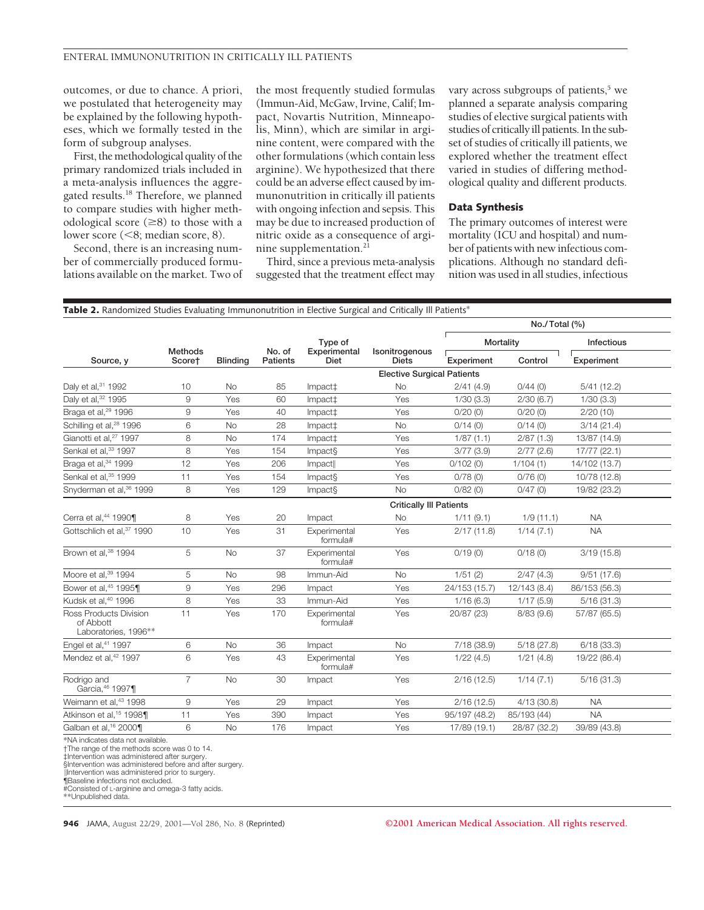outcomes, or due to chance. A priori, we postulated that heterogeneity may be explained by the following hypotheses, which we formally tested in the form of subgroup analyses.

First, the methodological quality of the primary randomized trials included in a meta-analysis influences the aggregated results.<sup>18</sup> Therefore, we planned to compare studies with higher methodological score  $(\geq 8)$  to those with a lower score  $( $8$ ; median score, 8)$ .

Second, there is an increasing number of commercially produced formulations available on the market. Two of the most frequently studied formulas (Immun-Aid, McGaw, Irvine, Calif; Impact, Novartis Nutrition, Minneapolis, Minn), which are similar in arginine content, were compared with the other formulations (which contain less arginine). We hypothesized that there could be an adverse effect caused by immunonutrition in critically ill patients with ongoing infection and sepsis. This may be due to increased production of nitric oxide as a consequence of arginine supplementation.<sup>21</sup>

Third, since a previous meta-analysis suggested that the treatment effect may vary across subgroups of patients,<sup>5</sup> we planned a separate analysis comparing studies of elective surgical patients with studies of critically ill patients. In the subset of studies of critically ill patients, we explored whether the treatment effect varied in studies of differing methodological quality and different products.

#### **Data Synthesis**

The primary outcomes of interest were mortality (ICU and hospital) and number of patients with new infectious complications. Although no standard definition was used in all studies, infectious

| Source, y                                                   | <b>Methods</b><br>Scoret | <b>Blinding</b> | No. of<br>Patients | Type of<br>Experimental<br><b>Diet</b> | Isonitrogenous<br><b>Diets</b>    | No./Total (%) |              |               |
|-------------------------------------------------------------|--------------------------|-----------------|--------------------|----------------------------------------|-----------------------------------|---------------|--------------|---------------|
|                                                             |                          |                 |                    |                                        |                                   | Mortality     |              | Infectious    |
|                                                             |                          |                 |                    |                                        |                                   | Experiment    | Control      | Experiment    |
|                                                             |                          |                 |                    |                                        | <b>Elective Surgical Patients</b> |               |              |               |
| Daly et al, 31 1992                                         | 10                       | <b>No</b>       | 85                 | Impact‡                                | <b>No</b>                         | 2/41(4.9)     | 0/44(0)      | 5/41(12.2)    |
| Daly et al, 32 1995                                         | $\mathcal{G}% _{0}$      | Yes             | 60                 | Impact <sup>+</sup>                    | Yes                               | 1/30(3.3)     | 2/30(6.7)    | 1/30(3.3)     |
| Braga et al, <sup>29</sup> 1996                             | $\mathsf 9$              | Yes             | 40                 | Impact <sup>+</sup>                    | Yes                               | 0/20(0)       | 0/20(0)      | 2/20(10)      |
| Schilling et al, <sup>28</sup> 1996                         | 6                        | <b>No</b>       | 28                 | Impact‡                                | <b>No</b>                         | 0/14(0)       | 0/14(0)      | 3/14(21.4)    |
| Gianotti et al, <sup>27</sup> 1997                          | 8                        | <b>No</b>       | 174                | Impact <sup>+</sup>                    | Yes                               | 1/87(1.1)     | 2/87(1.3)    | 13/87 (14.9)  |
| Senkal et al, 33 1997                                       | 8                        | Yes             | 154                | <b>Impact</b> §                        | Yes                               | 3/77(3.9)     | 2/77(2.6)    | 17/77 (22.1)  |
| Braga et al, 34 1999                                        | 12                       | Yes             | 206                | Impact                                 | Yes                               | 0/102(0)      | 1/104(1)     | 14/102 (13.7) |
| Senkal et al, 35 1999                                       | 11                       | Yes             | 154                | <b>Impact</b> §                        | Yes                               | 0/78(0)       | 0/76(0)      | 10/78 (12.8)  |
| Snyderman et al, 36 1999                                    | 8                        | Yes             | 129                | Impact <sub>S</sub>                    | <b>No</b>                         | 0/82(0)       | 0/47(0)      | 19/82 (23.2)  |
|                                                             |                          |                 |                    |                                        | <b>Critically III Patients</b>    |               |              |               |
| Cerra et al, <sup>44</sup> 1990¶                            | 8                        | Yes             | 20                 | Impact                                 | <b>No</b>                         | 1/11(9.1)     | 1/9(11.1)    | <b>NA</b>     |
| Gottschlich et al. <sup>37</sup> 1990                       | 10                       | Yes             | 31                 | Experimental<br>formula#               | Yes                               | 2/17(11.8)    | 1/14(7.1)    | <b>NA</b>     |
| Brown et al, <sup>38</sup> 1994                             | 5                        | <b>No</b>       | 37                 | Experimental<br>formula#               | Yes                               | 0/19(0)       | 0/18(0)      | 3/19(15.8)    |
| Moore et al, <sup>39</sup> 1994                             | 5                        | <b>No</b>       | 98                 | Immun-Aid                              | <b>No</b>                         | 1/51(2)       | 2/47(4.3)    | 9/51(17.6)    |
| Bower et al, <sup>45</sup> 1995¶                            | 9                        | Yes             | 296                | Impact                                 | Yes                               | 24/153 (15.7) | 12/143 (8.4) | 86/153 (56.3) |
| Kudsk et al, <sup>40</sup> 1996                             | 8                        | Yes             | 33                 | Immun-Aid                              | Yes                               | 1/16(6.3)     | 1/17(5.9)    | 5/16(31.3)    |
| Ross Products Division<br>of Abbott<br>Laboratories, 1996** | 11                       | Yes             | 170                | Experimental<br>formula#               | Yes                               | 20/87 (23)    | 8/83(9.6)    | 57/87 (65.5)  |
| Engel et al, <sup>41</sup> 1997                             | 6                        | <b>No</b>       | 36                 | Impact                                 | <b>No</b>                         | 7/18 (38.9)   | 5/18(27.8)   | 6/18(33.3)    |
| Mendez et al, <sup>42</sup> 1997                            | 6                        | Yes             | 43                 | Experimental<br>formula#               | Yes                               | 1/22(4.5)     | 1/21(4.8)    | 19/22 (86.4)  |
| Rodrigo and<br>Garcia, 46 1997¶                             | $\overline{7}$           | <b>No</b>       | 30                 | Impact                                 | Yes                               | 2/16(12.5)    | 1/14(7.1)    | 5/16(31.3)    |
| Weimann et al, <sup>43</sup> 1998                           | 9                        | Yes             | 29                 | Impact                                 | Yes                               | 2/16(12.5)    | 4/13(30.8)   | <b>NA</b>     |
| Atkinson et al, <sup>15</sup> 1998¶                         | 11                       | Yes             | 390                | Impact                                 | Yes                               | 95/197 (48.2) | 85/193 (44)  | <b>NA</b>     |
| Galban et al, <sup>16</sup> 2000¶                           | 6                        | No              | 176                | Impact                                 | Yes                               | 17/89 (19.1)  | 28/87 (32.2) | 39/89 (43.8)  |
|                                                             |                          |                 |                    |                                        |                                   |               |              |               |

\*NA indicates data not available.

†The range of the methods score was 0 to 14.

‡Intervention was administered after surgery.

§Intervention was administered before and after surgery.

\Intervention was administered prior to surgery.

¶Baseline infections not excluded. #Consisted of L-arginine and omega-3 fatty acids.

\*\*Unpublished data.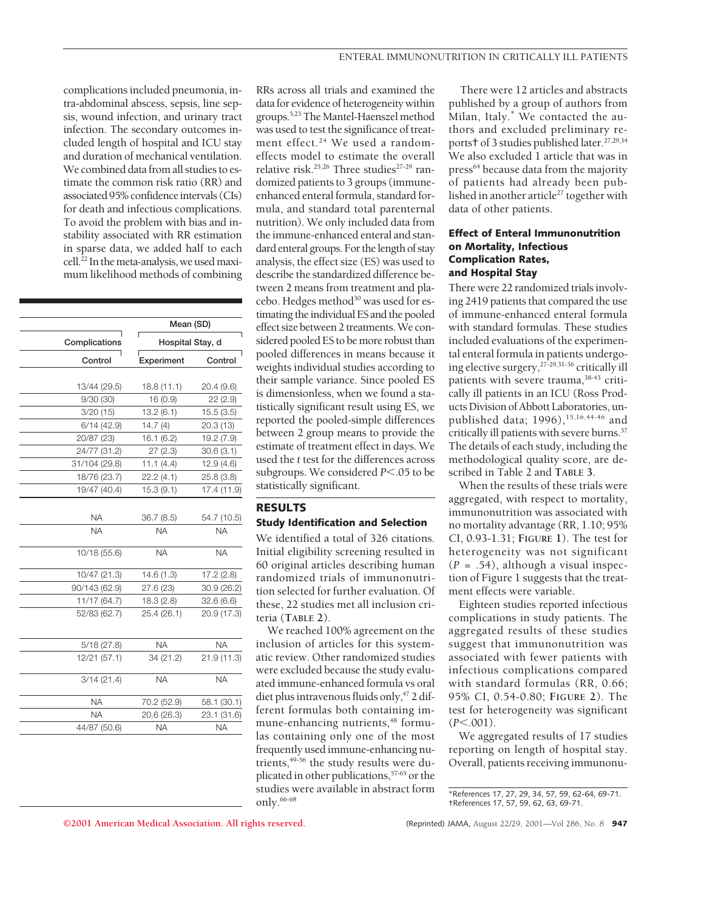complications included pneumonia, intra-abdominal abscess, sepsis, line sepsis, wound infection, and urinary tract infection. The secondary outcomes included length of hospital and ICU stay and duration of mechanical ventilation. We combined data from all studies to estimate the common risk ratio (RR) and associated 95% confidence intervals (CIs) for death and infectious complications. To avoid the problem with bias and instability associated with RR estimation in sparse data, we added half to each cell.<sup>22</sup> In the meta-analysis, we used maximum likelihood methods of combining

|               | Mean (SD)        |             |  |  |  |
|---------------|------------------|-------------|--|--|--|
| Complications | Hospital Stay, d |             |  |  |  |
| Control       | Experiment       | Control     |  |  |  |
|               |                  |             |  |  |  |
| 13/44 (29.5)  | 18.8 (11.1)      | 20.4(9.6)   |  |  |  |
| 9/30(30)      | 16(0.9)          | 22(2.9)     |  |  |  |
| 3/20(15)      | 13.2(6.1)        | 15.5(3.5)   |  |  |  |
| 6/14(42.9)    | 14.7(4)          | 20.3 (13)   |  |  |  |
| 20/87 (23)    | 16.1(6.2)        | 19.2 (7.9)  |  |  |  |
| 24/77 (31.2)  | 27(2.3)          | 30.6(3.1)   |  |  |  |
| 31/104 (29.8) | 11.1(4.4)        | 12.9(4.6)   |  |  |  |
| 18/76 (23.7)  | 22.2(4.1)        | 25.8 (3.8)  |  |  |  |
| 19/47 (40.4)  | 15.3(9.1)        | 17.4 (11.9) |  |  |  |
|               |                  |             |  |  |  |
| <b>NA</b>     | 36.7(8.5)        | 54.7 (10.5) |  |  |  |
| <b>NA</b>     | <b>NA</b>        | <b>NA</b>   |  |  |  |
| 10/18 (55.6)  | <b>NA</b>        | <b>NA</b>   |  |  |  |
| 10/47 (21.3)  | 14.6 (1.3)       | 17.2 (2.8)  |  |  |  |
| 90/143 (62.9) | 27.6 (23)        | 30.9 (26.2) |  |  |  |
| 11/17 (64.7)  | 18.3(2.8)        | 32.6(6.6)   |  |  |  |
| 52/83 (62.7)  | 25.4 (26.1)      | 20.9 (17.3) |  |  |  |
|               |                  |             |  |  |  |
| 5/18(27.8)    | <b>NA</b>        | <b>NA</b>   |  |  |  |
| 12/21 (57.1)  | 34 (21.2)        | 21.9 (11.3) |  |  |  |
| 3/14(21.4)    | <b>NA</b>        | <b>NA</b>   |  |  |  |
| <b>NA</b>     | 70.2 (52.9)      | 58.1 (30.1) |  |  |  |
| <b>NA</b>     | 20.6 (26.3)      | 23.1 (31.6) |  |  |  |
| 44/87 (50.6)  | <b>NA</b>        | <b>NA</b>   |  |  |  |
|               |                  |             |  |  |  |

RRs across all trials and examined the data for evidence of heterogeneity within groups.5,23 The Mantel-Haenszel method was used to test the significance of treatment effect.<sup>24</sup> We used a randomeffects model to estimate the overall There were 12 articles and abstracts published by a group of authors from Milan, Italy.\* We contacted the authors and excluded preliminary re-

relative risk.<sup>25,26</sup> Three studies<sup>27-29</sup> randomized patients to 3 groups (immuneenhanced enteral formula, standard formula, and standard total parenternal nutrition). We only included data from the immune-enhanced enteral and standard enteral groups. For the length of stay analysis, the effect size (ES) was used to describe the standardized difference between 2 means from treatment and placebo. Hedges method<sup>30</sup> was used for estimating the individual ES and the pooled effect size between 2 treatments. We considered pooled ES to be more robust than pooled differences in means because it weights individual studies according to their sample variance. Since pooled ES is dimensionless, when we found a statistically significant result using ES, we reported the pooled-simple differences between 2 group means to provide the estimate of treatment effect in days. We used the *t* test for the differences across subgroups. We considered *P*<.05 to be

statistically significant.

**Study Identification and Selection** We identified a total of 326 citations. Initial eligibility screening resulted in 60 original articles describing human randomized trials of immunonutrition selected for further evaluation. Of these, 22 studies met all inclusion cri-

We reached 100% agreement on the inclusion of articles for this systematic review. Other randomized studies were excluded because the study evaluated immune-enhanced formula vs oral diet plus intravenous fluids only,<sup>47</sup> 2 different formulas both containing immune-enhancing nutrients,<sup>48</sup> formulas containing only one of the most frequently used immune-enhancing nutrients,<sup>49-56</sup> the study results were duplicated in other publications,57-65 or the studies were available in abstract form

**RESULTS**

teria (**TABLE 2**).

only.66-68

ports† of 3 studies published later.<sup>27,29,34</sup> We also excluded 1 article that was in press<sup>64</sup> because data from the majority of patients had already been published in another article<sup>27</sup> together with data of other patients.

# **Effect of Enteral Immunonutrition on Mortality, Infectious Complication Rates, and Hospital Stay**

There were 22 randomized trials involving 2419 patients that compared the use of immune-enhanced enteral formula with standard formulas. These studies included evaluations of the experimental enteral formula in patients undergoing elective surgery,27-29,31-36 critically ill patients with severe trauma,<sup>38-43</sup> critically ill patients in an ICU (Ross Products Division of Abbott Laboratories, unpublished data; 1996),<sup>15,16,44-46</sup> and critically ill patients with severe burns.37 The details of each study, including the methodological quality score, are described in Table 2 and **TABLE 3**.

When the results of these trials were aggregated, with respect to mortality, immunonutrition was associated with no mortality advantage (RR, 1.10; 95% CI, 0.93-1.31; **FIGURE 1**). The test for heterogeneity was not significant  $(P = .54)$ , although a visual inspection of Figure 1 suggests that the treatment effects were variable.

Eighteen studies reported infectious complications in study patients. The aggregated results of these studies suggest that immunonutrition was associated with fewer patients with infectious complications compared with standard formulas (RR, 0.66; 95% CI, 0.54-0.80; **FIGURE 2**). The test for heterogeneity was significant  $(P<.001)$ .

We aggregated results of 17 studies reporting on length of hospital stay. Overall, patients receiving immunonu-

<sup>\*</sup>References 17, 27, 29, 34, 57, 59, 62-64, 69-71. †References 17, 57, 59, 62, 63, 69-71.

**<sup>©2001</sup> American Medical Association. All rights reserved.** (Reprinted) JAMA, August 22/29, 2001—Vol 286, No. 8 **947**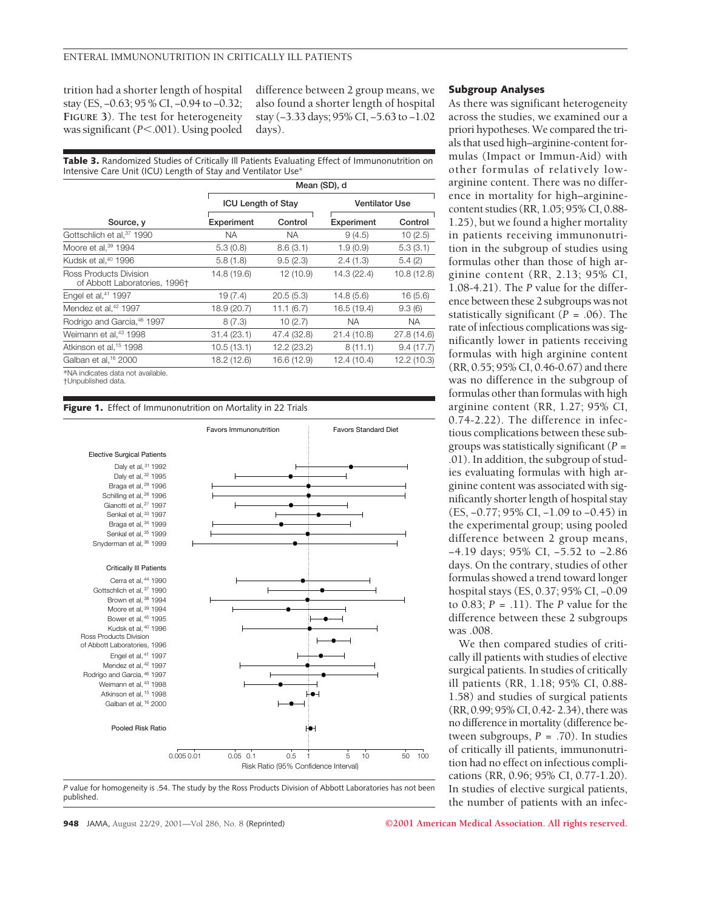trition had a shorter length of hospital stay (ES, −0.63; 95 % CI, −0.94 to −0.32; **FIGURE 3**). The test for heterogeneity was significant (*P*<.001). Using pooled difference between 2 group means, we also found a shorter length of hospital stay (−3.33 days; 95% CI, −5.63 to −1.02 days).

**Table 3.** Randomized Studies of Critically Ill Patients Evaluating Effect of Immunonutrition on Intensive Care Unit (ICU) Length of Stay and Ventilator Use\*

|                                                         | Mean (SD), d              |             |                       |             |  |  |  |
|---------------------------------------------------------|---------------------------|-------------|-----------------------|-------------|--|--|--|
|                                                         | <b>ICU Length of Stay</b> |             | <b>Ventilator Use</b> |             |  |  |  |
| Source, y                                               | Experiment                | Control     | Experiment            | Control     |  |  |  |
| Gottschlich et al, <sup>37</sup> 1990                   | NA.                       | NA.         | 9(4.5)                | 10(2.5)     |  |  |  |
| Moore et al, <sup>39</sup> 1994                         | 5.3(0.8)                  | 8.6(3.1)    | 1.9(0.9)              | 5.3(3.1)    |  |  |  |
| Kudsk et al. <sup>40</sup> 1996                         | 5.8(1.8)                  | 9.5(2.3)    | 2.4(1.3)              | 5.4(2)      |  |  |  |
| Ross Products Division<br>of Abbott Laboratories, 1996† | 14.8 (19.6)               | 12 (10.9)   | 14.3 (22.4)           | 10.8(12.8)  |  |  |  |
| Engel et al, $41$ 1997                                  | 19 (7.4)                  | 20.5(5.3)   | 14.8 (5.6)            | 16(5.6)     |  |  |  |
| Mendez et al, <sup>42</sup> 1997                        | 18.9 (20.7)               | 11.1(6.7)   | 16.5 (19.4)           | 9.3(6)      |  |  |  |
| Rodrigo and Garcia, 46 1997                             | 8(7.3)                    | 10(2.7)     | <b>NA</b>             | NA.         |  |  |  |
| Weimann et al, <sup>43</sup> 1998                       | 31.4(23.1)                | 47.4 (32.8) | 21.4 (10.8)           | 27.8 (14.6) |  |  |  |
| Atkinson et al, <sup>15</sup> 1998                      | 10.5(13.1)                | 12.2(23.2)  | 8(11.1)               | 9.4(17.7)   |  |  |  |
| Galban et al, <sup>16</sup> 2000                        | 18.2 (12.6)               | 16.6 (12.9) | 12.4(10.4)            | 12.2(10.3)  |  |  |  |
| *NA indicates data not available.<br>+Unpublished data. |                           |             |                       |             |  |  |  |



#### *P* value for homogeneity is .54. The study by the Ross Products Division of Abbott Laboratories has not been published.

#### **Subgroup Analyses**

As there was significant heterogeneity across the studies, we examined our a priori hypotheses. We compared the trials that used high–arginine-content formulas (Impact or Immun-Aid) with other formulas of relatively lowarginine content. There was no difference in mortality for high–argininecontent studies (RR, 1.05; 95% CI, 0.88- 1.25), but we found a higher mortality in patients receiving immunonutrition in the subgroup of studies using formulas other than those of high arginine content (RR, 2.13; 95% CI, 1.08-4.21). The *P* value for the difference between these 2 subgroups was not statistically significant ( $P = .06$ ). The rate of infectious complications was significantly lower in patients receiving formulas with high arginine content (RR, 0.55; 95% CI, 0.46-0.67) and there was no difference in the subgroup of formulas other than formulas with high arginine content (RR, 1.27; 95% CI, 0.74-2.22). The difference in infectious complications between these subgroups was statistically significant (*P* = .01). In addition, the subgroup of studies evaluating formulas with high arginine content was associated with significantly shorter length of hospital stay (ES, −0.77; 95% CI, −1.09 to −0.45) in the experimental group; using pooled difference between 2 group means, −4.19 days; 95% CI, −5.52 to −2.86 days. On the contrary, studies of other formulas showed a trend toward longer hospital stays (ES, 0.37; 95% CI, −0.09 to 0.83; *P* = .11). The *P* value for the difference between these 2 subgroups was .008.

We then compared studies of critically ill patients with studies of elective surgical patients. In studies of critically ill patients (RR, 1.18; 95% CI, 0.88- 1.58) and studies of surgical patients (RR, 0.99; 95% CI, 0.42- 2.34), there was no difference in mortality (difference between subgroups,  $P = .70$ ). In studies of critically ill patients, immunonutrition had no effect on infectious complications (RR, 0.96; 95% CI, 0.77-1.20). In studies of elective surgical patients, the number of patients with an infec-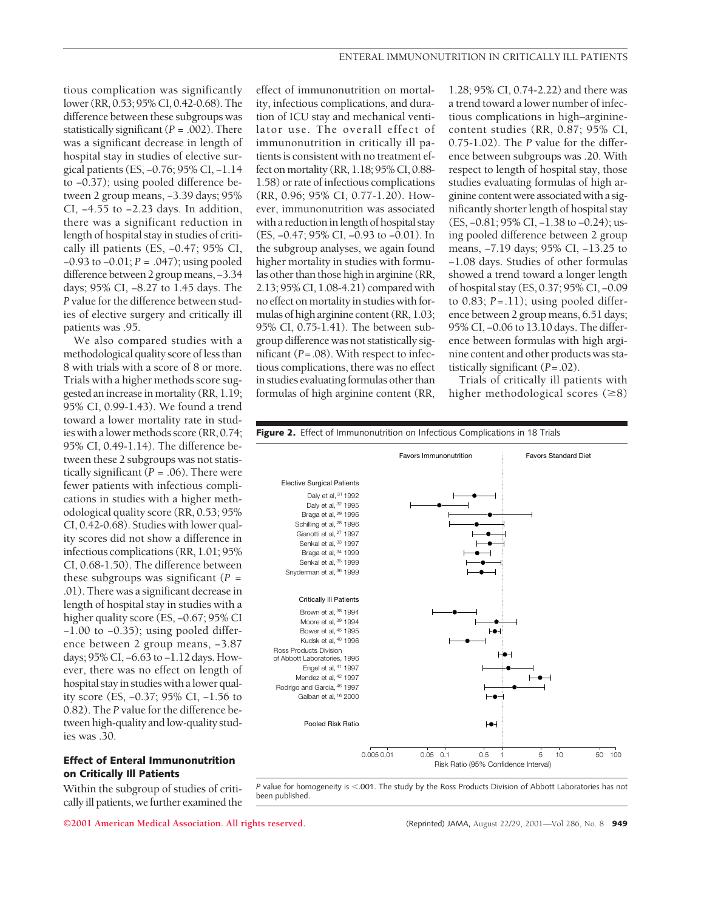tious complication was significantly lower (RR, 0.53; 95% CI, 0.42-0.68). The difference between these subgroups was statistically significant (*P* = .002). There was a significant decrease in length of hospital stay in studies of elective surgical patients (ES, −0.76; 95% CI, −1.14 to −0.37); using pooled difference between 2 group means, −3.39 days; 95% CI, −4.55 to −2.23 days. In addition, there was a significant reduction in length of hospital stay in studies of critically ill patients (ES, −0.47; 95% CI, −0.93 to −0.01; *P* = .047); using pooled difference between 2 group means, −3.34 days; 95% CI, −8.27 to 1.45 days. The *P* value for the difference between studies of elective surgery and critically ill patients was .95.

We also compared studies with a methodological quality score of less than 8 with trials with a score of 8 or more. Trials with a higher methods score suggested an increase in mortality (RR, 1.19; 95% CI, 0.99-1.43). We found a trend toward a lower mortality rate in studies with a lower methods score (RR, 0.74; 95% CI, 0.49-1.14). The difference between these 2 subgroups was not statistically significant  $(P = .06)$ . There were fewer patients with infectious complications in studies with a higher methodological quality score (RR, 0.53; 95% CI, 0.42-0.68). Studies with lower quality scores did not show a difference in infectious complications (RR, 1.01; 95% CI, 0.68-1.50). The difference between these subgroups was significant (*P* = .01). There was a significant decrease in length of hospital stay in studies with a higher quality score (ES, −0.67; 95% CI −1.00 to −0.35); using pooled difference between 2 group means, −3.87 days; 95% CI, −6.63 to −1.12 days. However, there was no effect on length of hospital stay in studies with a lower quality score (ES, −0.37; 95% CI, −1.56 to 0.82). The *P* value for the difference between high-quality and low-quality studies was .30.

# **Effect of Enteral Immunonutrition on Critically Ill Patients**

Within the subgroup of studies of critically ill patients, we further examined the effect of immunonutrition on mortality, infectious complications, and duration of ICU stay and mechanical ventilator use. The overall effect of immunonutrition in critically ill patients is consistent with no treatment effect on mortality (RR, 1.18; 95% CI, 0.88- 1.58) or rate of infectious complications (RR, 0.96; 95% CI, 0.77-1.20). However, immunonutrition was associated with a reduction in length of hospital stay (ES, −0.47; 95% CI, −0.93 to −0.01). In the subgroup analyses, we again found higher mortality in studies with formulas other than those high in arginine (RR, 2.13; 95% CI, 1.08-4.21) compared with no effect on mortality in studies with formulas of high arginine content (RR, 1.03; 95% CI, 0.75-1.41). The between subgroup difference was not statistically significant (*P*=.08). With respect to infectious complications, there was no effect in studies evaluating formulas other than formulas of high arginine content (RR,

1.28; 95% CI, 0.74-2.22) and there was a trend toward a lower number of infectious complications in high–argininecontent studies (RR, 0.87; 95% CI, 0.75-1.02). The *P* value for the difference between subgroups was .20. With respect to length of hospital stay, those studies evaluating formulas of high arginine content were associated with a significantly shorter length of hospital stay (ES, −0.81; 95% CI, −1.38 to −0.24); using pooled difference between 2 group means, −7.19 days; 95% CI, −13.25 to −1.08 days. Studies of other formulas showed a trend toward a longer length of hospital stay (ES, 0.37; 95% CI, −0.09 to  $0.83$ ;  $P = .11$ ); using pooled difference between 2 group means, 6.51 days; 95% CI, −0.06 to 13.10 days. The difference between formulas with high arginine content and other products was statistically significant (*P*=.02).

Trials of critically ill patients with higher methodological scores  $(\geq 8)$ 



*P* value for homogeneity is <.001. The study by the Ross Products Division of Abbott Laboratories has not been published.

**©2001 American Medical Association. All rights reserved.** (Reprinted) JAMA, August 22/29, 2001—Vol 286, No. 8 **949**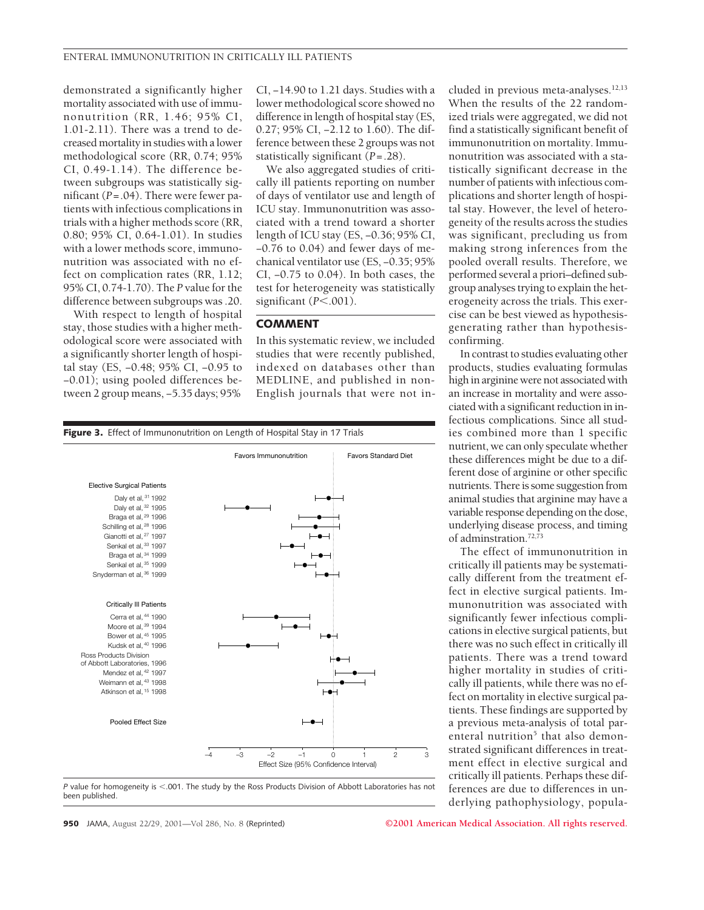demonstrated a significantly higher mortality associated with use of immunonutrition (RR, 1.46; 95% CI, 1.01-2.11). There was a trend to decreased mortality in studies with a lower methodological score (RR, 0.74; 95% CI, 0.49-1.14). The difference between subgroups was statistically significant (*P*=.04). There were fewer patients with infectious complications in trials with a higher methods score (RR, 0.80; 95% CI, 0.64-1.01). In studies with a lower methods score, immunonutrition was associated with no effect on complication rates (RR, 1.12; 95% CI, 0.74-1.70). The *P* value for the difference between subgroups was .20.

With respect to length of hospital stay, those studies with a higher methodological score were associated with a significantly shorter length of hospital stay (ES, −0.48; 95% CI, −0.95 to −0.01); using pooled differences between 2 group means, −5.35 days; 95%

CI, −14.90 to 1.21 days. Studies with a lower methodological score showed no difference in length of hospital stay (ES, 0.27; 95% CI, −2.12 to 1.60). The difference between these 2 groups was not statistically significant (*P*=.28).

We also aggregated studies of critically ill patients reporting on number of days of ventilator use and length of ICU stay. Immunonutrition was associated with a trend toward a shorter length of ICU stay (ES, −0.36; 95% CI, −0.76 to 0.04) and fewer days of mechanical ventilator use (ES, −0.35; 95% CI, −0.75 to 0.04). In both cases, the test for heterogeneity was statistically significant  $(P<.001)$ .

# **COMMENT**

In this systematic review, we included studies that were recently published, indexed on databases other than MEDLINE, and published in non-English journals that were not in-



*P* value for homogeneity is <.001. The study by the Ross Products Division of Abbott Laboratories has not been published.

cluded in previous meta-analyses.<sup>12,13</sup> When the results of the 22 randomized trials were aggregated, we did not find a statistically significant benefit of immunonutrition on mortality. Immunonutrition was associated with a statistically significant decrease in the number of patients with infectious complications and shorter length of hospital stay. However, the level of heterogeneity of the results across the studies was significant, precluding us from making strong inferences from the pooled overall results. Therefore, we performed several a priori–defined subgroup analyses trying to explain the heterogeneity across the trials. This exercise can be best viewed as hypothesisgenerating rather than hypothesisconfirming.

In contrast to studies evaluating other products, studies evaluating formulas high in arginine were not associated with an increase in mortality and were associated with a significant reduction in infectious complications. Since all studies combined more than 1 specific nutrient, we can only speculate whether these differences might be due to a different dose of arginine or other specific nutrients. There is some suggestion from animal studies that arginine may have a variable response depending on the dose, underlying disease process, and timing of adminstration.<sup>72,73</sup>

The effect of immunonutrition in critically ill patients may be systematically different from the treatment effect in elective surgical patients. Immunonutrition was associated with significantly fewer infectious complications in elective surgical patients, but there was no such effect in critically ill patients. There was a trend toward higher mortality in studies of critically ill patients, while there was no effect on mortality in elective surgical patients. These findings are supported by a previous meta-analysis of total parenteral nutrition<sup>5</sup> that also demonstrated significant differences in treatment effect in elective surgical and critically ill patients. Perhaps these differences are due to differences in underlying pathophysiology, popula-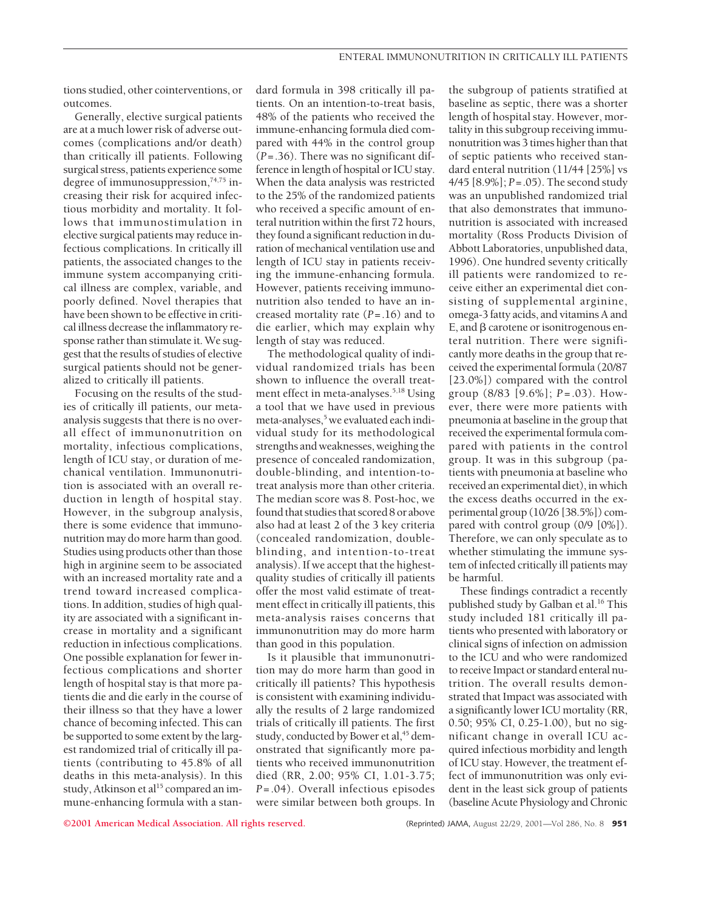tions studied, other cointerventions, or outcomes.

Generally, elective surgical patients are at a much lower risk of adverse outcomes (complications and/or death) than critically ill patients. Following surgical stress, patients experience some degree of immunosuppression, $74,75$  increasing their risk for acquired infectious morbidity and mortality. It follows that immunostimulation in elective surgical patients may reduce infectious complications. In critically ill patients, the associated changes to the immune system accompanying critical illness are complex, variable, and poorly defined. Novel therapies that have been shown to be effective in critical illness decrease the inflammatory response rather than stimulate it. We suggest that the results of studies of elective surgical patients should not be generalized to critically ill patients.

Focusing on the results of the studies of critically ill patients, our metaanalysis suggests that there is no overall effect of immunonutrition on mortality, infectious complications, length of ICU stay, or duration of mechanical ventilation. Immunonutrition is associated with an overall reduction in length of hospital stay. However, in the subgroup analysis, there is some evidence that immunonutrition may do more harm than good. Studies using products other than those high in arginine seem to be associated with an increased mortality rate and a trend toward increased complications. In addition, studies of high quality are associated with a significant increase in mortality and a significant reduction in infectious complications. One possible explanation for fewer infectious complications and shorter length of hospital stay is that more patients die and die early in the course of their illness so that they have a lower chance of becoming infected. This can be supported to some extent by the largest randomized trial of critically ill patients (contributing to 45.8% of all deaths in this meta-analysis). In this study, Atkinson et al<sup>15</sup> compared an immune-enhancing formula with a standard formula in 398 critically ill patients. On an intention-to-treat basis, 48% of the patients who received the immune-enhancing formula died compared with 44% in the control group (*P*=.36). There was no significant difference in length of hospital or ICU stay. When the data analysis was restricted to the 25% of the randomized patients who received a specific amount of enteral nutrition within the first 72 hours, they found a significant reduction in duration of mechanical ventilation use and length of ICU stay in patients receiving the immune-enhancing formula. However, patients receiving immunonutrition also tended to have an increased mortality rate (*P*=.16) and to die earlier, which may explain why length of stay was reduced.

The methodological quality of individual randomized trials has been shown to influence the overall treatment effect in meta-analyses.<sup>5,18</sup> Using a tool that we have used in previous meta-analyses,<sup>5</sup> we evaluated each individual study for its methodological strengths and weaknesses, weighing the presence of concealed randomization, double-blinding, and intention-totreat analysis more than other criteria. The median score was 8. Post-hoc, we found that studies that scored 8 or above also had at least 2 of the 3 key criteria (concealed randomization, doubleblinding, and intention-to-treat analysis). If we accept that the highestquality studies of critically ill patients offer the most valid estimate of treatment effect in critically ill patients, this meta-analysis raises concerns that immunonutrition may do more harm than good in this population.

Is it plausible that immunonutrition may do more harm than good in critically ill patients? This hypothesis is consistent with examining individually the results of 2 large randomized trials of critically ill patients. The first study, conducted by Bower et al,<sup>45</sup> demonstrated that significantly more patients who received immunonutrition died (RR, 2.00; 95% CI, 1.01-3.75; *P*=.04). Overall infectious episodes were similar between both groups. In

the subgroup of patients stratified at baseline as septic, there was a shorter length of hospital stay. However, mortality in this subgroup receiving immunonutrition was 3 times higher than that of septic patients who received standard enteral nutrition (11/44 [25%] vs 4/45 [8.9%]; *P*=.05). The second study was an unpublished randomized trial that also demonstrates that immunonutrition is associated with increased mortality (Ross Products Division of Abbott Laboratories, unpublished data, 1996). One hundred seventy critically ill patients were randomized to receive either an experimental diet consisting of supplemental arginine, omega-3 fatty acids, and vitamins A and E, and  $\beta$  carotene or isonitrogenous enteral nutrition. There were significantly more deaths in the group that received the experimental formula (20/87 [23.0%]) compared with the control group (8/83 [9.6%]; *P*=.03). However, there were more patients with pneumonia at baseline in the group that received the experimental formula compared with patients in the control group. It was in this subgroup (patients with pneumonia at baseline who received an experimental diet), in which the excess deaths occurred in the experimental group (10/26 [38.5%]) compared with control group (0/9 [0%]). Therefore, we can only speculate as to whether stimulating the immune system of infected critically ill patients may be harmful.

These findings contradict a recently published study by Galban et al.<sup>16</sup> This study included 181 critically ill patients who presented with laboratory or clinical signs of infection on admission to the ICU and who were randomized to receive Impact or standard enteral nutrition. The overall results demonstrated that Impact was associated with a significantly lower ICU mortality (RR, 0.50; 95% CI, 0.25-1.00), but no significant change in overall ICU acquired infectious morbidity and length of ICU stay. However, the treatment effect of immunonutrition was only evident in the least sick group of patients (baseline Acute Physiology and Chronic

**©2001 American Medical Association. All rights reserved.** (Reprinted) JAMA, August 22/29, 2001—Vol 286, No. 8 **951**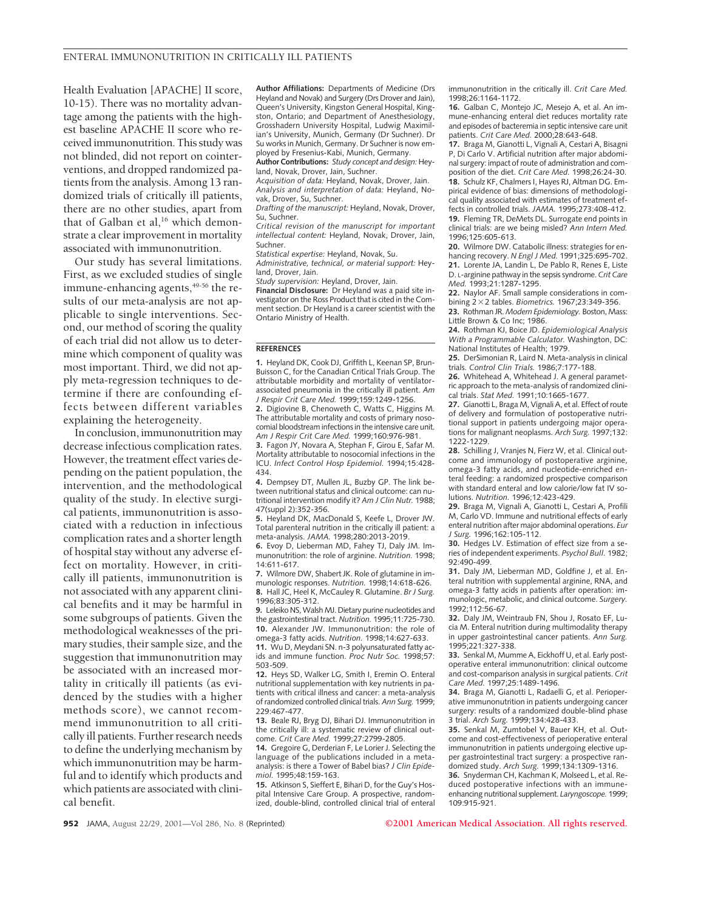Health Evaluation [APACHE] II score, 10-15). There was no mortality advantage among the patients with the highest baseline APACHE II score who received immunonutrition. This study was not blinded, did not report on cointerventions, and dropped randomized patients from the analysis. Among 13 randomized trials of critically ill patients, there are no other studies, apart from that of Galban et al,<sup>16</sup> which demonstrate a clear improvement in mortality associated with immunonutrition.

Our study has several limitations. First, as we excluded studies of single immune-enhancing agents,<sup>49-56</sup> the results of our meta-analysis are not applicable to single interventions. Second, our method of scoring the quality of each trial did not allow us to determine which component of quality was most important. Third, we did not apply meta-regression techniques to determine if there are confounding effects between different variables explaining the heterogeneity.

In conclusion, immunonutrition may decrease infectious complication rates. However, the treatment effect varies depending on the patient population, the intervention, and the methodological quality of the study. In elective surgical patients, immunonutrition is associated with a reduction in infectious complication rates and a shorter length of hospital stay without any adverse effect on mortality. However, in critically ill patients, immunonutrition is not associated with any apparent clinical benefits and it may be harmful in some subgroups of patients. Given the methodological weaknesses of the primary studies, their sample size, and the suggestion that immunonutrition may be associated with an increased mortality in critically ill patients (as evidenced by the studies with a higher methods score), we cannot recommend immunonutrition to all critically ill patients. Further research needs to define the underlying mechanism by which immunonutrition may be harmful and to identify which products and which patients are associated with clinical benefit.

**Author Affiliations:** Departments of Medicine (Drs Heyland and Novak) and Surgery (Drs Drover and Jain), Queen's University, Kingston General Hospital, Kingston, Ontario; and Department of Anesthesiology, Grosshadern University Hospital, Ludwig Maximilian's University, Munich, Germany (Dr Suchner). Dr Su works in Munich, Germany. Dr Suchner is now employed by Fresenius-Kabi, Munich, Germany. **Author Contributions:** *Study concept and design:* Hey-

land, Novak, Drover, Jain, Suchner.

*Acquisition of data:* Heyland, Novak, Drover, Jain. *Analysis and interpretation of data:* Heyland, Novak, Drover, Su, Suchner.

*Drafting of the manuscript:* Heyland, Novak, Drover, Su, Suchner.

*Critical revision of the manuscript for important intellectual content:* Heyland, Novak, Drover, Jain, Suchner.

*Statistical expertise:* Heyland, Novak, Su.

*Administrative, technical, or material support:* Heyland, Drover, Jain.

*Study supervision:* Heyland, Drover, Jain.

**Financial Disclosure:** Dr Heyland was a paid site investigator on the Ross Product that is cited in the Comment section. Dr Heyland is a career scientist with the Ontario Ministry of Health.

#### **REFERENCES**

**1.** Heyland DK, Cook DJ, Griffith L, Keenan SP, Brun-Buisson C, for the Canadian Critical Trials Group. The attributable morbidity and mortality of ventilatorassociated pneumonia in the critically ill patient. *Am J Respir Crit Care Med.* 1999;159:1249-1256.

**2.** Digiovine B, Chenoweth C, Watts C, Higgins M. The attributable mortality and costs of primary nosocomial bloodstream infections in the intensive care unit. *Am J Respir Crit Care Med.* 1999;160:976-981.

**3.** Fagon JY, Novara A, Stephan F, Girou E, Safar M. Mortality attributable to nosocomial infections in the ICU. *Infect Control Hosp Epidemiol.* 1994;15:428- 434.

**4.** Dempsey DT, Mullen JL, Buzby GP. The link between nutritional status and clinical outcome: can nutritional intervention modify it? *Am J Clin Nutr.* 1988; 47(suppl 2):352-356.

**5.** Heyland DK, MacDonald S, Keefe L, Drover JW. Total parenteral nutrition in the critically ill patient: a meta-analysis. *JAMA.* 1998;280:2013-2019.

**6.** Evoy D, Lieberman MD, Fahey TJ, Daly JM. Immunonutrition: the role of arginine. *Nutrition.* 1998; 14:611-617.

**7.** Wilmore DW, Shabert JK. Role of glutamine in immunologic responses. *Nutrition.* 1998;14:618-626. **8.** Hall JC, Heel K, McCauley R. Glutamine. *Br J Surg.* 1996;83:305-312.

**9.** Leleiko NS, Walsh MJ. Dietary purine nucleotides and the gastrointestinal tract. *Nutrition.* 1995;11:725-730. **10.** Alexander JW. Immunonutrition: the role of omega-3 fatty acids. *Nutrition.* 1998;14:627-633.

**11.** Wu D, Meydani SN. n-3 polyunsaturated fatty acids and immune function. *Proc Nutr Soc.* 1998;57: 503-509.

**12.** Heys SD, Walker LG, Smith I, Eremin O. Enteral nutritional supplementation with key nutrients in patients with critical illness and cancer: a meta-analysis of randomized controlled clinical trials. *Ann Surg.* 1999; 229:467-477.

**13.** Beale RJ, Bryg DJ, Bihari DJ. Immunonutrition in the critically ill: a systematic review of clinical outcome. *Crit Care Med.* 1999;27:2799-2805.

**14.** Gregoire G, Derderian F, Le Lorier J. Selecting the language of the publications included in a metaanalysis: is there a Tower of Babel bias? *J Clin Epidemiol.* 1995;48:159-163.

**15.** Atkinson S, Sieffert E, Bihari D, for the Guy's Hospital Intensive Care Group. A prospective, randomized, double-blind, controlled clinical trial of enteral immunonutrition in the critically ill. *Crit Care Med.* 1998;26:1164-1172.

**16.** Galban C, Montejo JC, Mesejo A, et al. An immune-enhancing enteral diet reduces mortality rate and episodes of bacteremia in septic intensive care unit patients. *Crit Care Med.* 2000;28:643-648.

**17.** Braga M, Gianotti L, Vignali A, Cestari A, Bisagni P, Di Carlo V. Artificial nutrition after major abdominal surgery: impact of route of administration and composition of the diet. *Crit Care Med.* 1998;26:24-30. **18.** Schulz KF, Chalmers I, Hayes RJ, Altman DG. Empirical evidence of bias: dimensions of methodological quality associated with estimates of treatment effects in controlled trials. *JAMA.* 1995;273:408-412. **19.** Fleming TR, DeMets DL. Surrogate end points in clinical trials: are we being misled? *Ann Intern Med.* 1996;125:605-613.

**20.** Wilmore DW. Catabolic illness: strategies for enhancing recovery. *N Engl J Med.* 1991;325:695-702. **21.** Lorente JA, Landin L, De Pablo R, Renes E, Liste D. L-arginine pathway in the sepsis syndrome.*Crit Care Med.* 1993;21:1287-1295.

**22.** Naylor AF. Small sample considerations in combining 232 tables. *Biometrics.* 1967;23:349-356. **23.** Rothman JR. *Modern Epidemiology.* Boston, Mass: Little Brown & Co Inc; 1986.

**24.** Rothman KJ, Boice JD. *Epidemiological Analysis With a Programmable Calculator.* Washington, DC: National Institutes of Health; 1979.

**25.** DerSimonian R, Laird N. Meta-analysis in clinical trials. *Control Clin Trials.* 1986;7:177-188.

**26.** Whitehead A, Whitehead J. A general parametric approach to the meta-analysis of randomized clinical trials. *Stat Med.* 1991;10:1665-1677.

**27.** Gianotti L, Braga M, Vignali A, et al. Effect of route of delivery and formulation of postoperative nutritional support in patients undergoing major operations for malignant neoplasms. *Arch Surg.* 1997;132: 1222-1229.

**28.** Schilling J, Vranjes N, Fierz W, et al. Clinical outcome and immunology of postoperative arginine, omega-3 fatty acids, and nucleotide-enriched enteral feeding: a randomized prospective comparison with standard enteral and low calorie/low fat IV solutions. *Nutrition.* 1996;12:423-429.

**29.** Braga M, Vignali A, Gianotti L, Cestari A, Profili M, Carlo VD. Immune and nutritional effects of early enteral nutrition after major abdominal operations. *Eur J Surg.* 1996;162:105-112.

**30.** Hedges LV. Estimation of effect size from a series of independent experiments. *Psychol Bull.* 1982; 92:490-499.

**31.** Daly JM, Lieberman MD, Goldfine J, et al. Enteral nutrition with supplemental arginine, RNA, and omega-3 fatty acids in patients after operation: immunologic, metabolic, and clinical outcome. *Surgery.* 1992;112:56-67.

**32.** Daly JM, Weintraub FN, Shou J, Rosato EF, Lucia M. Enteral nutrition during multimodality therapy in upper gastrointestinal cancer patients. *Ann Surg.* 1995;221:327-338.

**33.** Senkal M, Mumme A, Eickhoff U, et al. Early postoperative enteral immunonutrition: clinical outcome and cost-comparison analysis in surgical patients. *Crit Care Med.* 1997;25:1489-1496.

**34.** Braga M, Gianotti L, Radaelli G, et al. Perioperative immunonutrition in patients undergoing cancer surgery: results of a randomized double-blind phase 3 trial. *Arch Surg.* 1999;134:428-433.

**35.** Senkal M, Zumtobel V, Bauer KH, et al. Outcome and cost-effectiveness of perioperative enteral immunonutrition in patients undergoing elective upper gastrointestinal tract surgery: a prospective randomized study. *Arch Surg.* 1999;134:1309-1316.

**36.** Snyderman CH, Kachman K, Molseed L, et al. Reduced postoperative infections with an immuneenhancing nutritional supplement. *Laryngoscope.* 1999; 109:915-921.